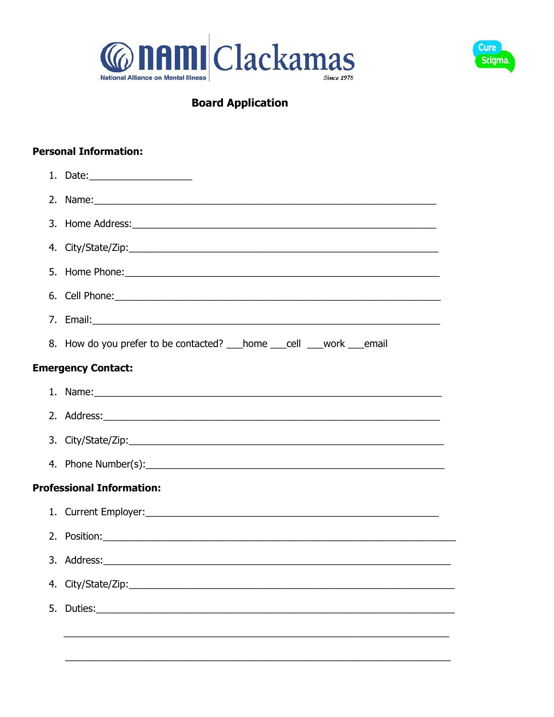



# **Board Application**

## **Personal Information:**

| 2.                               | Name: Name and the second contract of the second contract of the second contract of the second contract of the                                                                                                                       |  |  |  |  |
|----------------------------------|--------------------------------------------------------------------------------------------------------------------------------------------------------------------------------------------------------------------------------------|--|--|--|--|
|                                  |                                                                                                                                                                                                                                      |  |  |  |  |
|                                  |                                                                                                                                                                                                                                      |  |  |  |  |
|                                  |                                                                                                                                                                                                                                      |  |  |  |  |
|                                  | 6. Cell Phone: <u>contract and a series of the series of the series of the series of the series of the series of the series of the series of the series of the series of the series of the series of the series of the series of</u> |  |  |  |  |
|                                  |                                                                                                                                                                                                                                      |  |  |  |  |
|                                  | 8. How do you prefer to be contacted? home cell work earnail                                                                                                                                                                         |  |  |  |  |
| <b>Emergency Contact:</b>        |                                                                                                                                                                                                                                      |  |  |  |  |
|                                  | 1. Name: 1. 2008. 2008. 2010. 2010. 2010. 2010. 2010. 2010. 2010. 2010. 2010. 2010. 2010. 2010. 2010. 2010. 20                                                                                                                       |  |  |  |  |
|                                  |                                                                                                                                                                                                                                      |  |  |  |  |
|                                  |                                                                                                                                                                                                                                      |  |  |  |  |
|                                  |                                                                                                                                                                                                                                      |  |  |  |  |
| <b>Professional Information:</b> |                                                                                                                                                                                                                                      |  |  |  |  |
|                                  |                                                                                                                                                                                                                                      |  |  |  |  |
| 2.                               |                                                                                                                                                                                                                                      |  |  |  |  |
|                                  |                                                                                                                                                                                                                                      |  |  |  |  |
|                                  |                                                                                                                                                                                                                                      |  |  |  |  |
| 5.                               |                                                                                                                                                                                                                                      |  |  |  |  |
|                                  |                                                                                                                                                                                                                                      |  |  |  |  |
|                                  |                                                                                                                                                                                                                                      |  |  |  |  |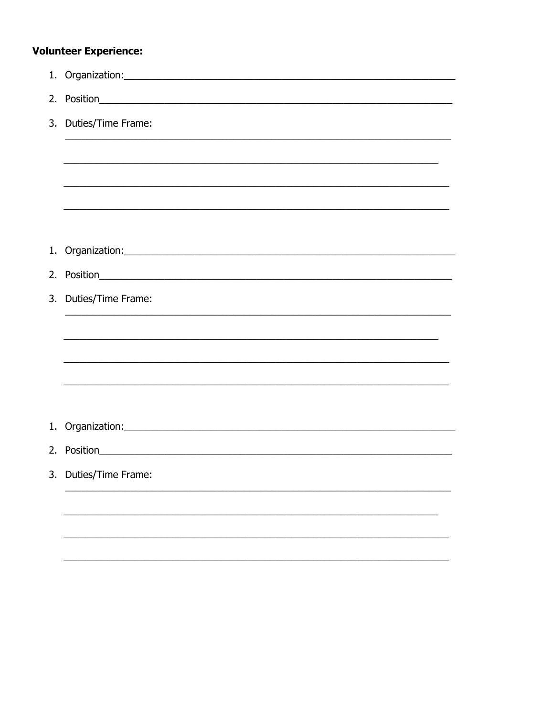## **Volunteer Experience:**

| 3. Duties/Time Frame:                                                                                                 |
|-----------------------------------------------------------------------------------------------------------------------|
|                                                                                                                       |
|                                                                                                                       |
|                                                                                                                       |
|                                                                                                                       |
| 1. Organization: 2008 and 2008 and 2008 and 2008 and 2008 and 2008 and 2008 and 2008 and 2008 and 2008 and 200        |
|                                                                                                                       |
| 3. Duties/Time Frame:<br><u> 1989 - Johann Stoff, amerikansk politiker (d. 1989)</u>                                  |
|                                                                                                                       |
| <u> 1989 - Johann Harry Harry Harry Harry Harry Harry Harry Harry Harry Harry Harry Harry Harry Harry Harry Harry</u> |
|                                                                                                                       |
|                                                                                                                       |
|                                                                                                                       |
|                                                                                                                       |
| 3. Duties/Time Frame:                                                                                                 |
|                                                                                                                       |
|                                                                                                                       |
|                                                                                                                       |